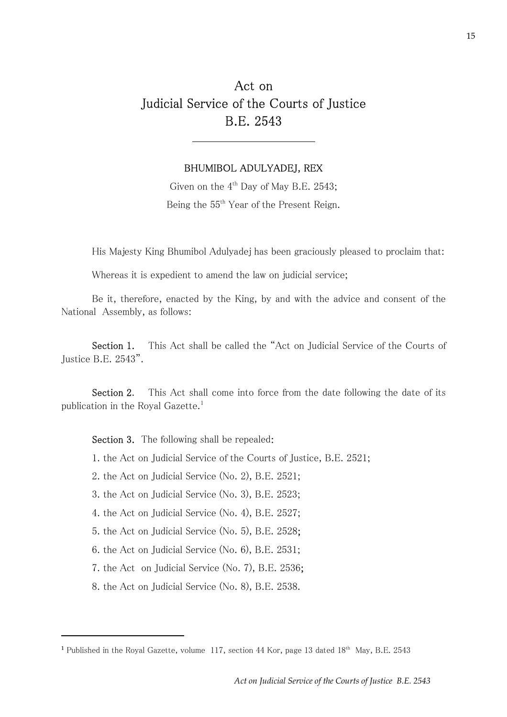## Act on Judicial Service of the Courts of Justice B.E. 2543

#### BHUMIBOL ADULYADEJ, REX

Given on the  $4<sup>th</sup>$  Day of May B.E. 2543; Being the 55<sup>th</sup> Year of the Present Reign.

His Majesty King Bhumibol Adulyadej has been graciously pleased to proclaim that:

Whereas it is expedient to amend the law on judicial service;

Be it, therefore, enacted by the King, by and with the advice and consent of the National Assembly, as follows:

Section 1. This Act shall be called the "Act on Judicial Service of the Courts of Justice B.E. 2543".

Section 2. This Act shall come into force from the date following the date of its publication in the Royal Gazette.<sup>1</sup>

Section 3. The following shall be repealed:

1. the Act on Judicial Service of the Courts of Justice, B.E. 2521;

2. the Act on Judicial Service (No. 2), B.E. 2521;

3. the Act on Judicial Service (No. 3), B.E. 2523;

4. the Act on Judicial Service (No. 4), B.E. 2527;

5. the Act on Judicial Service (No. 5), B.E. 2528;

6. the Act on Judicial Service (No. 6), B.E. 2531;

7. the Act on Judicial Service (No. 7), B.E. 2536;

8. the Act on Judicial Service (No. 8), B.E. 2538.

<sup>&</sup>lt;sup>1</sup> Published in the Royal Gazette, volume 117, section 44 Kor, page 13 dated  $18<sup>th</sup>$  May, B.E. 2543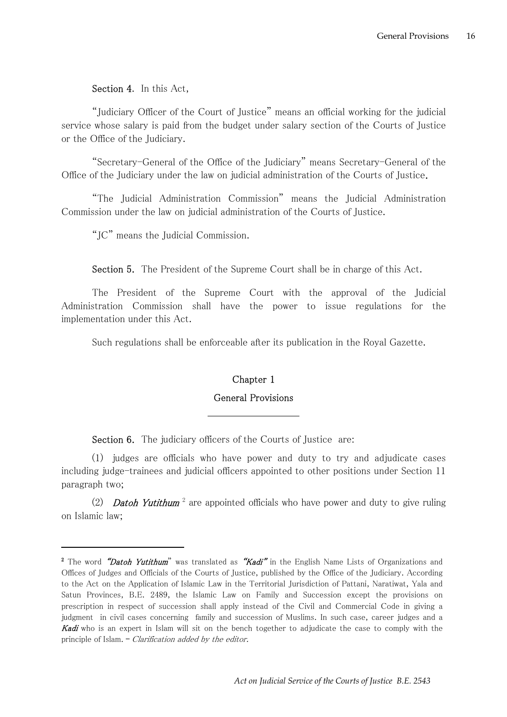Section 4. In this Act,

"Judiciary Officer of the Court of Justice" means an official working for the judicial service whose salary is paid from the budget under salary section of the Courts of Justice or the Office of the Judiciary.

"Secretary-General of the Office of the Judiciary" means Secretary-General of the Office of the Judiciary under the law on judicial administration of the Courts of Justice.

"The Judicial Administration Commission" means the Judicial Administration Commission under the law on judicial administration of the Courts of Justice.

"JC" means the Judicial Commission.

Section 5. The President of the Supreme Court shall be in charge of this Act.

The President of the Supreme Court with the approval of the Judicial Administration Commission shall have the power to issue regulations for the implementation under this Act.

Such regulations shall be enforceable after its publication in the Royal Gazette.

## Chapter 1

### General Provisions

Section 6. The judiciary officers of the Courts of Justice are:

(1) judges are officials who have power and duty to try and adjudicate cases including judge-trainees and judicial officers appointed to other positions under Section 11 paragraph two;

(2) **Datoh Yutithum**<sup>2</sup> are appointed officials who have power and duty to give ruling on Islamic law;

<sup>&</sup>lt;sup>2</sup> The word *"Datoh Yutithum*" was translated as *"Kadi"* in the English Name Lists of Organizations and Offices of Judges and Officials of the Courts of Justice, published by the Office of the Judiciary. According to the Act on the Application of Islamic Law in the Territorial Jurisdiction of Pattani, Naratiwat, Yala and Satun Provinces, B.E. 2489, the Islamic Law on Family and Succession except the provisions on prescription in respect of succession shall apply instead of the Civil and Commercial Code in giving a judgment in civil cases concerning family and succession of Muslims. In such case, career judges and a **Kadi** who is an expert in Islam will sit on the bench together to adjudicate the case to comply with the principle of Islam. – Clarification added by the editor.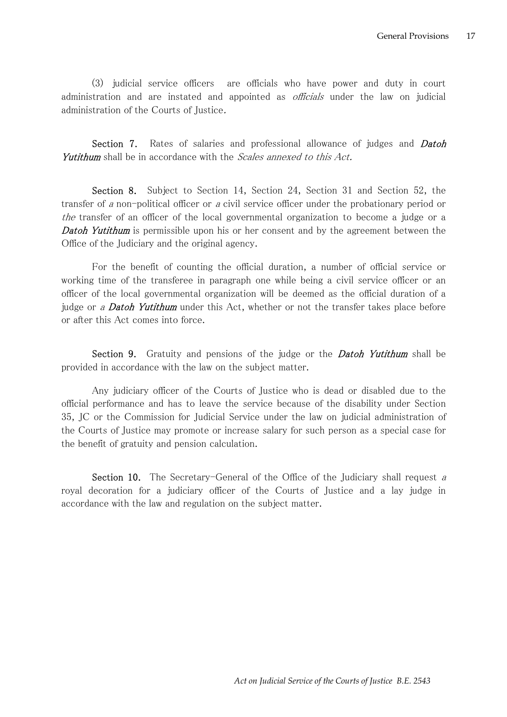(3) judicial service officers are officials who have power and duty in court administration and are instated and appointed as *officials* under the law on judicial administration of the Courts of Justice.

Section 7. Rates of salaries and professional allowance of judges and *Datoh* Yutithum shall be in accordance with the *Scales annexed to this Act*.

Section 8. Subject to Section 14, Section 24, Section 31 and Section 52, the transfer of a non-political officer or a civil service officer under the probationary period or the transfer of an officer of the local governmental organization to become a judge or a **Datoh Yutithum** is permissible upon his or her consent and by the agreement between the Office of the Judiciary and the original agency.

For the benefit of counting the official duration, a number of official service or working time of the transferee in paragraph one while being a civil service officer or an officer of the local governmental organization will be deemed as the official duration of a judge or a **Datoh Yutithum** under this Act, whether or not the transfer takes place before or after this Act comes into force.

Section 9. Gratuity and pensions of the judge or the *Datoh Yutithum* shall be provided in accordance with the law on the subject matter.

Any judiciary officer of the Courts of Justice who is dead or disabled due to the official performance and has to leave the service because of the disability under Section 35, JC or the Commission for Judicial Service under the law on judicial administration of the Courts of Justice may promote or increase salary for such person as a special case for the benefit of gratuity and pension calculation.

Section 10. The Secretary-General of the Office of the Judiciary shall request a royal decoration for a judiciary officer of the Courts of Justice and a lay judge in accordance with the law and regulation on the subject matter.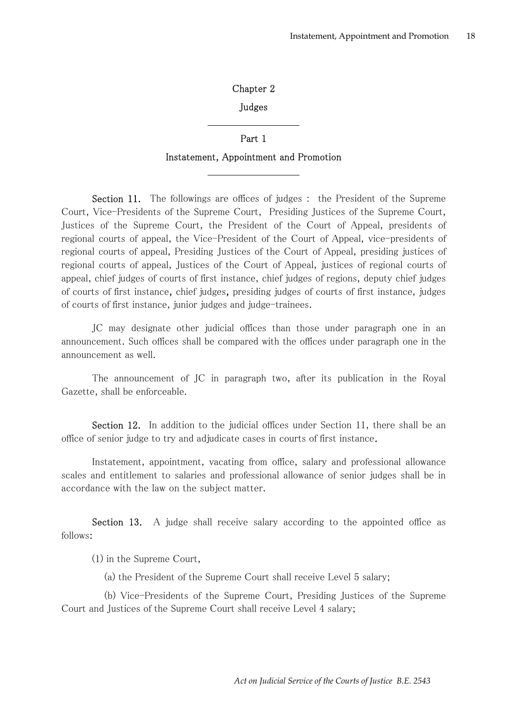## Chapter 2

#### Judges

# Part 1 Instatement, Appointment and Promotion

Section 11. The followings are offices of judges : the President of the Supreme Court, Vice-Presidents of the Supreme Court, Presiding Justices of the Supreme Court, Justices of the Supreme Court, the President of the Court of Appeal, presidents of regional courts of appeal, the Vice-President of the Court of Appeal, vice-presidents of regional courts of appeal, Presiding Justices of the Court of Appeal, presiding justices of regional courts of appeal, Justices of the Court of Appeal, justices of regional courts of appeal, chief judges of courts of first instance, chief judges of regions, deputy chief judges of courts of first instance, chief judges, presiding judges of courts of first instance, judges of courts of first instance, junior judges and judge-trainees.

JC may designate other judicial offices than those under paragraph one in an announcement. Such offices shall be compared with the offices under paragraph one in the announcement as well.

The announcement of JC in paragraph two, after its publication in the Royal Gazette, shall be enforceable.

Section 12. In addition to the judicial offices under Section 11, there shall be an office of senior judge to try and adjudicate cases in courts of first instance.

Instatement, appointment, vacating from office, salary and professional allowance scales and entitlement to salaries and professional allowance of senior judges shall be in accordance with the law on the subject matter.

Section 13. A judge shall receive salary according to the appointed office as follows:

(1) in the Supreme Court,

(a) the President of the Supreme Court shall receive Level 5 salary;

 (b) Vice-Presidents of the Supreme Court, Presiding Justices of the Supreme Court and Justices of the Supreme Court shall receive Level 4 salary;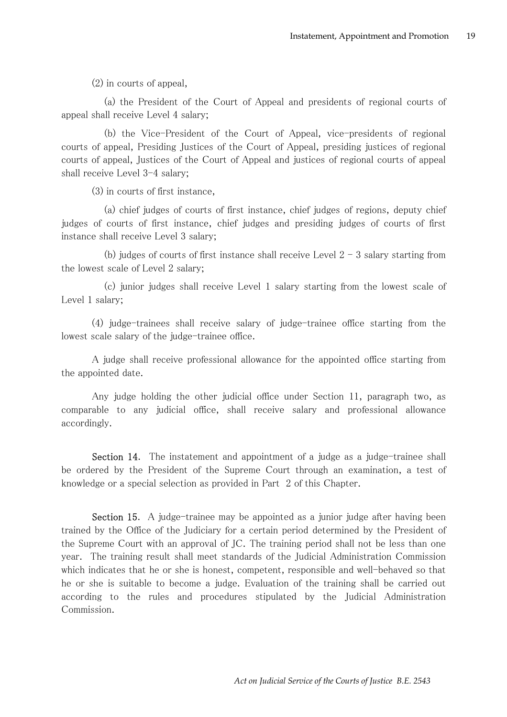(2) in courts of appeal,

 (a) the President of the Court of Appeal and presidents of regional courts of appeal shall receive Level 4 salary;

 (b) the Vice-President of the Court of Appeal, vice-presidents of regional courts of appeal, Presiding Justices of the Court of Appeal, presiding justices of regional courts of appeal, Justices of the Court of Appeal and justices of regional courts of appeal shall receive Level 3-4 salary;

(3) in courts of first instance,

 (a) chief judges of courts of first instance, chief judges of regions, deputy chief judges of courts of first instance, chief judges and presiding judges of courts of first instance shall receive Level 3 salary;

(b) judges of courts of first instance shall receive Level  $2 - 3$  salary starting from the lowest scale of Level 2 salary;

 (c) junior judges shall receive Level 1 salary starting from the lowest scale of Level 1 salary;

(4) judge-trainees shall receive salary of judge-trainee office starting from the lowest scale salary of the judge-trainee office.

A judge shall receive professional allowance for the appointed office starting from the appointed date.

Any judge holding the other judicial office under Section 11, paragraph two, as comparable to any judicial office, shall receive salary and professional allowance accordingly.

Section 14. The instatement and appointment of a judge as a judge-trainee shall be ordered by the President of the Supreme Court through an examination, a test of knowledge or a special selection as provided in Part 2 of this Chapter.

Section 15. A judge-trainee may be appointed as a junior judge after having been trained by the Office of the Judiciary for a certain period determined by the President of the Supreme Court with an approval of JC. The training period shall not be less than one year. The training result shall meet standards of the Judicial Administration Commission which indicates that he or she is honest, competent, responsible and well-behaved so that he or she is suitable to become a judge. Evaluation of the training shall be carried out according to the rules and procedures stipulated by the Judicial Administration Commission.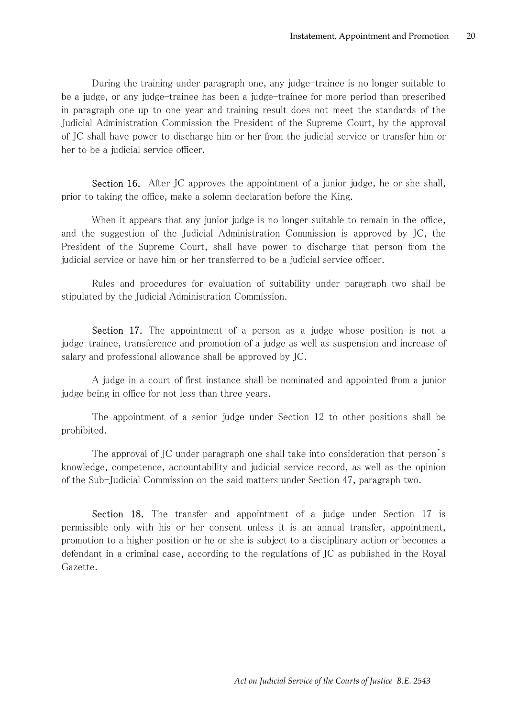During the training under paragraph one, any judge-trainee is no longer suitable to be a judge, or any judge-trainee has been a judge-trainee for more period than prescribed in paragraph one up to one year and training result does not meet the standards of the Judicial Administration Commission the President of the Supreme Court, by the approval of JC shall have power to discharge him or her from the judicial service or transfer him or her to be a judicial service officer.

Section 16. After JC approves the appointment of a junior judge, he or she shall, prior to taking the office, make a solemn declaration before the King.

When it appears that any junior judge is no longer suitable to remain in the office, and the suggestion of the Judicial Administration Commission is approved by JC, the President of the Supreme Court, shall have power to discharge that person from the judicial service or have him or her transferred to be a judicial service officer.

Rules and procedures for evaluation of suitability under paragraph two shall be stipulated by the Judicial Administration Commission.

Section 17. The appointment of a person as a judge whose position is not a judge-trainee, transference and promotion of a judge as well as suspension and increase of salary and professional allowance shall be approved by JC.

A judge in a court of first instance shall be nominated and appointed from a junior judge being in office for not less than three years.

The appointment of a senior judge under Section 12 to other positions shall be prohibited.

The approval of JC under paragraph one shall take into consideration that person's knowledge, competence, accountability and judicial service record, as well as the opinion of the Sub-Judicial Commission on the said matters under Section 47, paragraph two.

Section 18. The transfer and appointment of a judge under Section 17 is permissible only with his or her consent unless it is an annual transfer, appointment, promotion to a higher position or he or she is subject to a disciplinary action or becomes a defendant in a criminal case, according to the regulations of JC as published in the Royal Gazette.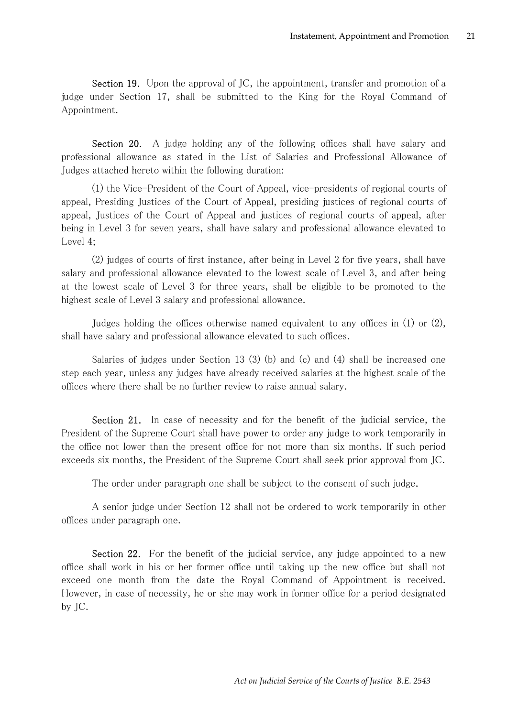Section 19. Upon the approval of JC, the appointment, transfer and promotion of a judge under Section 17, shall be submitted to the King for the Royal Command of Appointment.

Section 20. A judge holding any of the following offices shall have salary and professional allowance as stated in the List of Salaries and Professional Allowance of Judges attached hereto within the following duration:

(1) the Vice-President of the Court of Appeal, vice-presidents of regional courts of appeal, Presiding Justices of the Court of Appeal, presiding justices of regional courts of appeal, Justices of the Court of Appeal and justices of regional courts of appeal, after being in Level 3 for seven years, shall have salary and professional allowance elevated to Level 4;

(2) judges of courts of first instance, after being in Level 2 for five years, shall have salary and professional allowance elevated to the lowest scale of Level 3, and after being at the lowest scale of Level 3 for three years, shall be eligible to be promoted to the highest scale of Level 3 salary and professional allowance.

Judges holding the offices otherwise named equivalent to any offices in (1) or (2), shall have salary and professional allowance elevated to such offices.

Salaries of judges under Section 13 (3) (b) and (c) and (4) shall be increased one step each year, unless any judges have already received salaries at the highest scale of the offices where there shall be no further review to raise annual salary.

Section 21. In case of necessity and for the benefit of the judicial service, the President of the Supreme Court shall have power to order any judge to work temporarily in the office not lower than the present office for not more than six months. If such period exceeds six months, the President of the Supreme Court shall seek prior approval from JC.

The order under paragraph one shall be subject to the consent of such judge.

A senior judge under Section 12 shall not be ordered to work temporarily in other offices under paragraph one.

Section 22. For the benefit of the judicial service, any judge appointed to a new office shall work in his or her former office until taking up the new office but shall not exceed one month from the date the Royal Command of Appointment is received. However, in case of necessity, he or she may work in former office for a period designated by JC.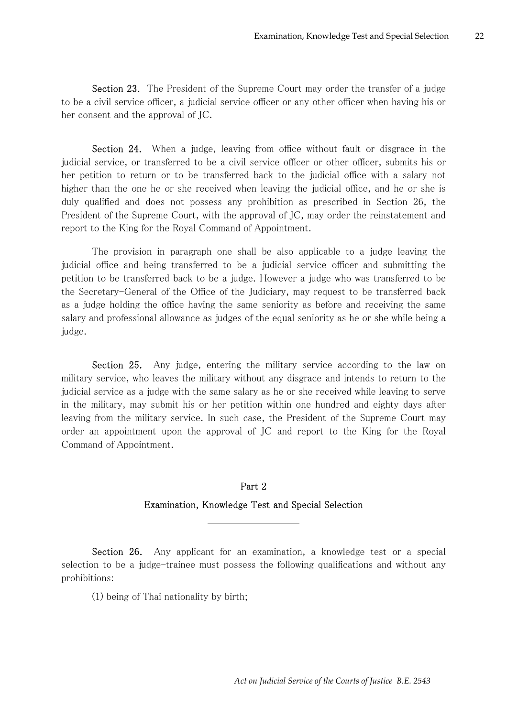Section 23. The President of the Supreme Court may order the transfer of a judge to be a civil service officer, a judicial service officer or any other officer when having his or her consent and the approval of JC.

Section 24. When a judge, leaving from office without fault or disgrace in the judicial service, or transferred to be a civil service officer or other officer, submits his or her petition to return or to be transferred back to the judicial office with a salary not higher than the one he or she received when leaving the judicial office, and he or she is duly qualified and does not possess any prohibition as prescribed in Section 26, the President of the Supreme Court, with the approval of JC, may order the reinstatement and report to the King for the Royal Command of Appointment.

The provision in paragraph one shall be also applicable to a judge leaving the judicial office and being transferred to be a judicial service officer and submitting the petition to be transferred back to be a judge. However a judge who was transferred to be the Secretary-General of the Office of the Judiciary, may request to be transferred back as a judge holding the office having the same seniority as before and receiving the same salary and professional allowance as judges of the equal seniority as he or she while being a judge.

Section 25. Any judge, entering the military service according to the law on military service, who leaves the military without any disgrace and intends to return to the judicial service as a judge with the same salary as he or she received while leaving to serve in the military, may submit his or her petition within one hundred and eighty days after leaving from the military service. In such case, the President of the Supreme Court may order an appointment upon the approval of JC and report to the King for the Royal Command of Appointment.

#### Part 2

#### Examination, Knowledge Test and Special Selection

Section 26. Any applicant for an examination, a knowledge test or a special selection to be a judge-trainee must possess the following qualifications and without any prohibitions:

(1) being of Thai nationality by birth;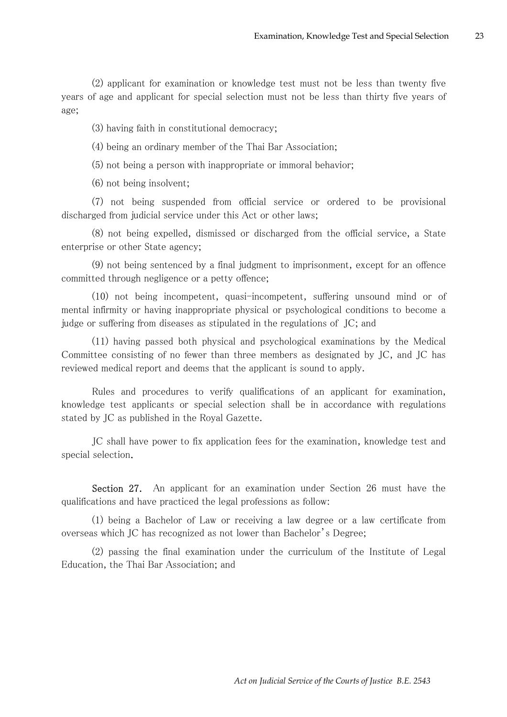(2) applicant for examination or knowledge test must not be less than twenty five years of age and applicant for special selection must not be less than thirty five years of age;

(3) having faith in constitutional democracy;

(4) being an ordinary member of the Thai Bar Association;

(5) not being a person with inappropriate or immoral behavior;

(6) not being insolvent;

(7) not being suspended from official service or ordered to be provisional discharged from judicial service under this Act or other laws;

(8) not being expelled, dismissed or discharged from the official service, a State enterprise or other State agency;

(9) not being sentenced by a final judgment to imprisonment, except for an offence committed through negligence or a petty offence;

(10) not being incompetent, quasi-incompetent, suffering unsound mind or of mental infirmity or having inappropriate physical or psychological conditions to become a judge or suffering from diseases as stipulated in the regulations of JC; and

(11) having passed both physical and psychological examinations by the Medical Committee consisting of no fewer than three members as designated by JC, and JC has reviewed medical report and deems that the applicant is sound to apply.

Rules and procedures to verify qualifications of an applicant for examination, knowledge test applicants or special selection shall be in accordance with regulations stated by JC as published in the Royal Gazette.

JC shall have power to fix application fees for the examination, knowledge test and special selection.

Section 27. An applicant for an examination under Section 26 must have the qualifications and have practiced the legal professions as follow:

(1) being a Bachelor of Law or receiving a law degree or a law certificate from overseas which JC has recognized as not lower than Bachelor's Degree;

(2) passing the final examination under the curriculum of the Institute of Legal Education, the Thai Bar Association; and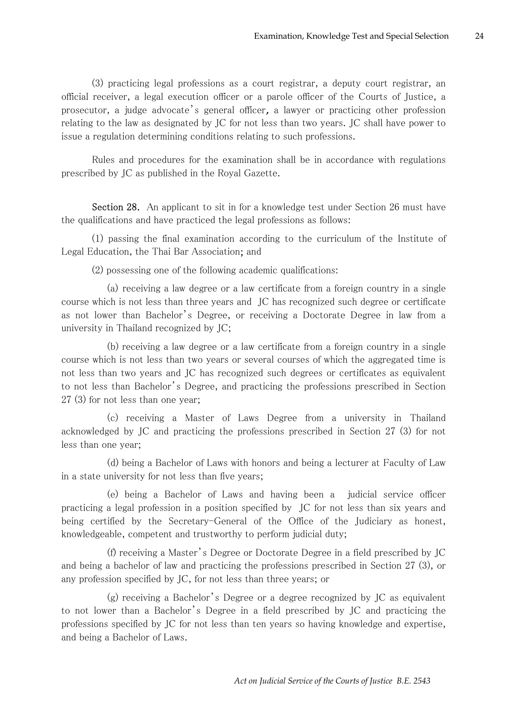(3) practicing legal professions as a court registrar, a deputy court registrar, an official receiver, a legal execution officer or a parole officer of the Courts of Justice, a prosecutor, a judge advocate's general officer, a lawyer or practicing other profession relating to the law as designated by JC for not less than two years. JC shall have power to issue a regulation determining conditions relating to such professions.

Rules and procedures for the examination shall be in accordance with regulations prescribed by JC as published in the Royal Gazette.

Section 28. An applicant to sit in for a knowledge test under Section 26 must have the qualifications and have practiced the legal professions as follows:

(1) passing the final examination according to the curriculum of the Institute of Legal Education, the Thai Bar Association; and

(2) possessing one of the following academic qualifications:

 (a) receiving a law degree or a law certificate from a foreign country in a single course which is not less than three years and JC has recognized such degree or certificate as not lower than Bachelor's Degree, or receiving a Doctorate Degree in law from a university in Thailand recognized by JC;

 (b) receiving a law degree or a law certificate from a foreign country in a single course which is not less than two years or several courses of which the aggregated time is not less than two years and JC has recognized such degrees or certificates as equivalent to not less than Bachelor's Degree, and practicing the professions prescribed in Section 27 (3) for not less than one year;

 (c) receiving a Master of Laws Degree from a university in Thailand acknowledged by JC and practicing the professions prescribed in Section 27 (3) for not less than one year;

 (d) being a Bachelor of Laws with honors and being a lecturer at Faculty of Law in a state university for not less than five years;

 (e) being a Bachelor of Laws and having been a judicial service officer practicing a legal profession in a position specified by JC for not less than six years and being certified by the Secretary-General of the Office of the Judiciary as honest, knowledgeable, competent and trustworthy to perform judicial duty;

 (f) receiving a Master's Degree or Doctorate Degree in a field prescribed by JC and being a bachelor of law and practicing the professions prescribed in Section 27 (3), or any profession specified by JC, for not less than three years; or

 (g) receiving a Bachelor's Degree or a degree recognized by JC as equivalent to not lower than a Bachelor's Degree in a field prescribed by JC and practicing the professions specified by JC for not less than ten years so having knowledge and expertise, and being a Bachelor of Laws.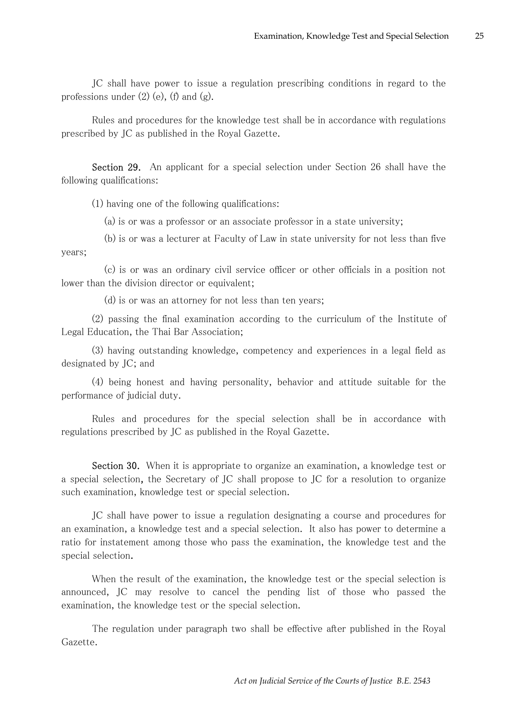JC shall have power to issue a regulation prescribing conditions in regard to the professions under  $(2)$  (e), (f) and (g).

Rules and procedures for the knowledge test shall be in accordance with regulations prescribed by JC as published in the Royal Gazette.

Section 29. An applicant for a special selection under Section 26 shall have the following qualifications:

(1) having one of the following qualifications:

(a) is or was a professor or an associate professor in a state university;

 (b) is or was a lecturer at Faculty of Law in state university for not less than five years;

 (c) is or was an ordinary civil service officer or other officials in a position not lower than the division director or equivalent;

(d) is or was an attorney for not less than ten years;

(2) passing the final examination according to the curriculum of the Institute of Legal Education, the Thai Bar Association;

(3) having outstanding knowledge, competency and experiences in a legal field as designated by JC; and

(4) being honest and having personality, behavior and attitude suitable for the performance of judicial duty.

Rules and procedures for the special selection shall be in accordance with regulations prescribed by JC as published in the Royal Gazette.

Section 30. When it is appropriate to organize an examination, a knowledge test or a special selection, the Secretary of JC shall propose to JC for a resolution to organize such examination, knowledge test or special selection.

JC shall have power to issue a regulation designating a course and procedures for an examination, a knowledge test and a special selection. It also has power to determine a ratio for instatement among those who pass the examination, the knowledge test and the special selection.

When the result of the examination, the knowledge test or the special selection is announced, JC may resolve to cancel the pending list of those who passed the examination, the knowledge test or the special selection.

The regulation under paragraph two shall be effective after published in the Royal Gazette.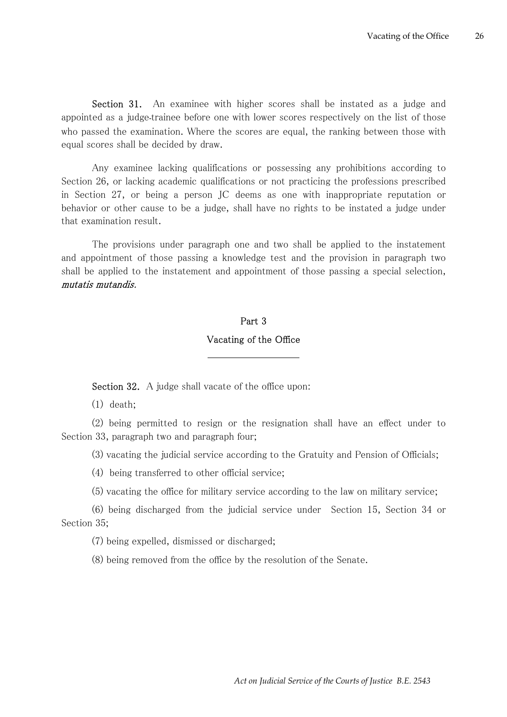Section 31. An examinee with higher scores shall be instated as a judge and appointed as a judge-trainee before one with lower scores respectively on the list of those who passed the examination. Where the scores are equal, the ranking between those with equal scores shall be decided by draw.

Any examinee lacking qualifications or possessing any prohibitions according to Section 26, or lacking academic qualifications or not practicing the professions prescribed in Section 27, or being a person JC deems as one with inappropriate reputation or behavior or other cause to be a judge, shall have no rights to be instated a judge under that examination result.

The provisions under paragraph one and two shall be applied to the instatement and appointment of those passing a knowledge test and the provision in paragraph two shall be applied to the instatement and appointment of those passing a special selection, mutatis mutandis.

## Part 3 Vacating of the Office

Section 32. A judge shall vacate of the office upon:

(1) death;

(2) being permitted to resign or the resignation shall have an effect under to Section 33, paragraph two and paragraph four;

(3) vacating the judicial service according to the Gratuity and Pension of Officials;

(4) being transferred to other official service;

(5) vacating the office for military service according to the law on military service;

(6) being discharged from the judicial service under Section 15, Section 34 or Section 35;

(7) being expelled, dismissed or discharged;

(8) being removed from the office by the resolution of the Senate.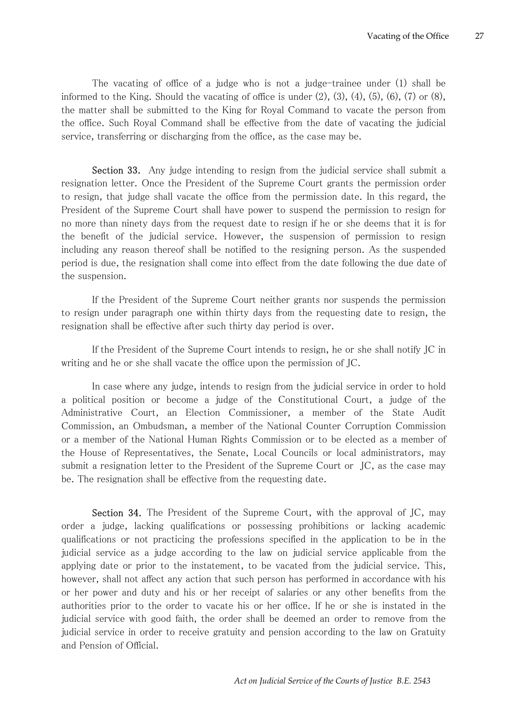The vacating of office of a judge who is not a judge-trainee under (1) shall be informed to the King. Should the vacating of office is under  $(2)$ ,  $(3)$ ,  $(4)$ ,  $(5)$ ,  $(6)$ ,  $(7)$  or  $(8)$ , the matter shall be submitted to the King for Royal Command to vacate the person from the office. Such Royal Command shall be effective from the date of vacating the judicial service, transferring or discharging from the office, as the case may be.

Section 33. Any judge intending to resign from the judicial service shall submit a resignation letter. Once the President of the Supreme Court grants the permission order to resign, that judge shall vacate the office from the permission date. In this regard, the President of the Supreme Court shall have power to suspend the permission to resign for no more than ninety days from the request date to resign if he or she deems that it is for the benefit of the judicial service. However, the suspension of permission to resign including any reason thereof shall be notified to the resigning person. As the suspended period is due, the resignation shall come into effect from the date following the due date of the suspension.

If the President of the Supreme Court neither grants nor suspends the permission to resign under paragraph one within thirty days from the requesting date to resign, the resignation shall be effective after such thirty day period is over.

If the President of the Supreme Court intends to resign, he or she shall notify JC in writing and he or she shall vacate the office upon the permission of JC.

In case where any judge, intends to resign from the judicial service in order to hold a political position or become a judge of the Constitutional Court, a judge of the Administrative Court, an Election Commissioner, a member of the State Audit Commission, an Ombudsman, a member of the National Counter Corruption Commission or a member of the National Human Rights Commission or to be elected as a member of the House of Representatives, the Senate, Local Councils or local administrators, may submit a resignation letter to the President of the Supreme Court or JC, as the case may be. The resignation shall be effective from the requesting date.

Section 34. The President of the Supreme Court, with the approval of JC, may order a judge, lacking qualifications or possessing prohibitions or lacking academic qualifications or not practicing the professions specified in the application to be in the judicial service as a judge according to the law on judicial service applicable from the applying date or prior to the instatement, to be vacated from the judicial service. This, however, shall not affect any action that such person has performed in accordance with his or her power and duty and his or her receipt of salaries or any other benefits from the authorities prior to the order to vacate his or her office. If he or she is instated in the judicial service with good faith, the order shall be deemed an order to remove from the judicial service in order to receive gratuity and pension according to the law on Gratuity and Pension of Official.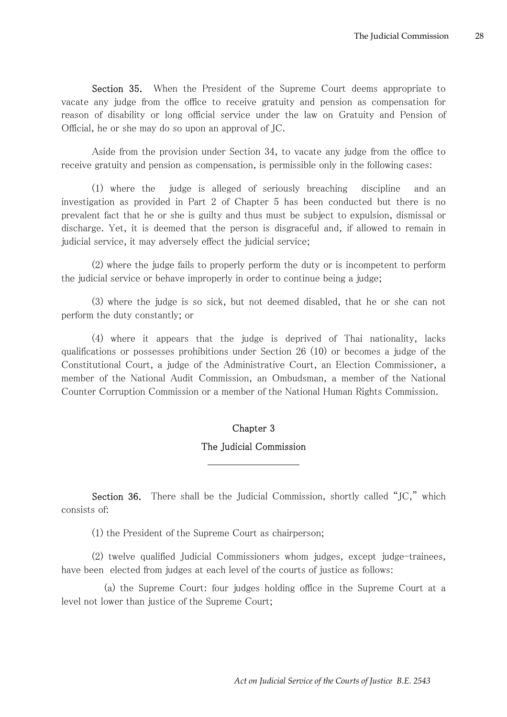Section 35. When the President of the Supreme Court deems appropriate to vacate any judge from the office to receive gratuity and pension as compensation for reason of disability or long official service under the law on Gratuity and Pension of Official, he or she may do so upon an approval of JC.

Aside from the provision under Section 34, to vacate any judge from the office to receive gratuity and pension as compensation, is permissible only in the following cases:

(1) where the judge is alleged of seriously breaching discipline and an investigation as provided in Part 2 of Chapter 5 has been conducted but there is no prevalent fact that he or she is guilty and thus must be subject to expulsion, dismissal or discharge. Yet, it is deemed that the person is disgraceful and, if allowed to remain in judicial service, it may adversely effect the judicial service;

(2) where the judge fails to properly perform the duty or is incompetent to perform the judicial service or behave improperly in order to continue being a judge;

(3) where the judge is so sick, but not deemed disabled, that he or she can not perform the duty constantly; or

(4) where it appears that the judge is deprived of Thai nationality, lacks qualifications or possesses prohibitions under Section 26 (10) or becomes a judge of the Constitutional Court, a judge of the Administrative Court, an Election Commissioner, a member of the National Audit Commission, an Ombudsman, a member of the National Counter Corruption Commission or a member of the National Human Rights Commission.

### Chapter 3

#### The Judicial Commission

Section 36. There shall be the Judicial Commission, shortly called "JC," which consists of:

(1) the President of the Supreme Court as chairperson;

(2) twelve qualified Judicial Commissioners whom judges, except judge-trainees, have been elected from judges at each level of the courts of justice as follows:

 (a) the Supreme Court: four judges holding office in the Supreme Court at a level not lower than justice of the Supreme Court;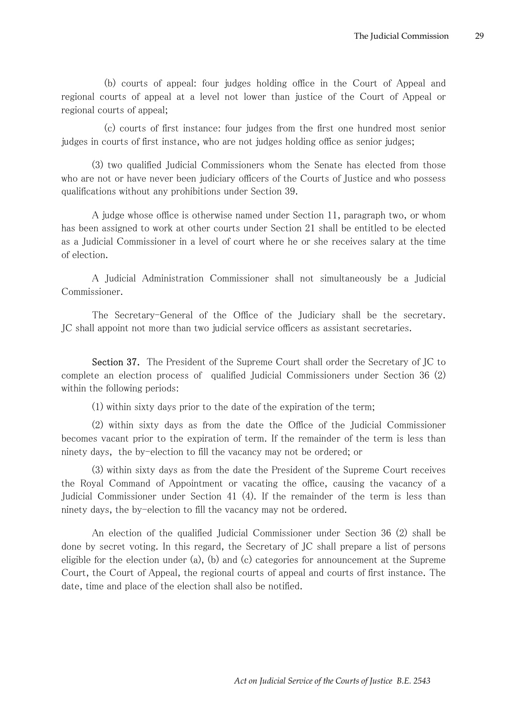(b) courts of appeal: four judges holding office in the Court of Appeal and regional courts of appeal at a level not lower than justice of the Court of Appeal or regional courts of appeal;

 (c) courts of first instance: four judges from the first one hundred most senior judges in courts of first instance, who are not judges holding office as senior judges;

(3) two qualified Judicial Commissioners whom the Senate has elected from those who are not or have never been judiciary officers of the Courts of Justice and who possess qualifications without any prohibitions under Section 39.

A judge whose office is otherwise named under Section 11, paragraph two, or whom has been assigned to work at other courts under Section 21 shall be entitled to be elected as a Judicial Commissioner in a level of court where he or she receives salary at the time of election.

A Judicial Administration Commissioner shall not simultaneously be a Judicial Commissioner.

The Secretary-General of the Office of the Judiciary shall be the secretary. JC shall appoint not more than two judicial service officers as assistant secretaries.

Section 37. The President of the Supreme Court shall order the Secretary of JC to complete an election process of qualified Judicial Commissioners under Section 36 (2) within the following periods:

(1) within sixty days prior to the date of the expiration of the term;

(2) within sixty days as from the date the Office of the Judicial Commissioner becomes vacant prior to the expiration of term. If the remainder of the term is less than ninety days, the by-election to fill the vacancy may not be ordered; or

(3) within sixty days as from the date the President of the Supreme Court receives the Royal Command of Appointment or vacating the office, causing the vacancy of a Judicial Commissioner under Section 41 (4). If the remainder of the term is less than ninety days, the by-election to fill the vacancy may not be ordered.

An election of the qualified Judicial Commissioner under Section 36 (2) shall be done by secret voting. In this regard, the Secretary of JC shall prepare a list of persons eligible for the election under (a), (b) and (c) categories for announcement at the Supreme Court, the Court of Appeal, the regional courts of appeal and courts of first instance. The date, time and place of the election shall also be notified.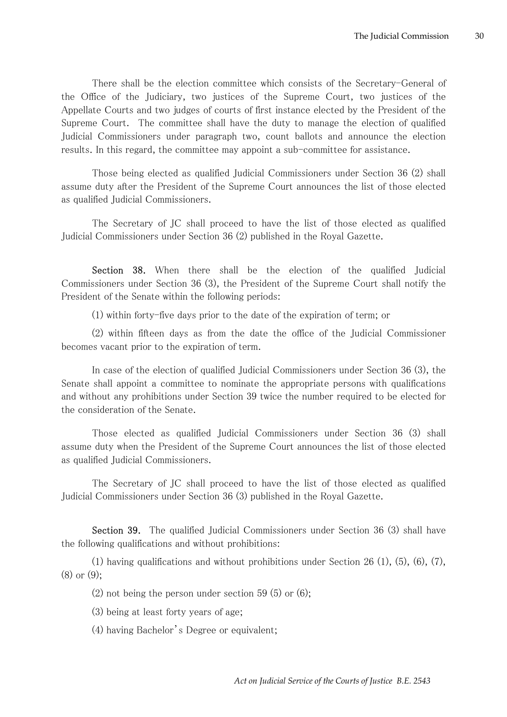There shall be the election committee which consists of the Secretary-General of the Office of the Judiciary, two justices of the Supreme Court, two justices of the Appellate Courts and two judges of courts of first instance elected by the President of the Supreme Court. The committee shall have the duty to manage the election of qualified Judicial Commissioners under paragraph two, count ballots and announce the election results. In this regard, the committee may appoint a sub-committee for assistance.

Those being elected as qualified Judicial Commissioners under Section 36 (2) shall assume duty after the President of the Supreme Court announces the list of those elected as qualified Judicial Commissioners.

The Secretary of JC shall proceed to have the list of those elected as qualified Judicial Commissioners under Section 36 (2) published in the Royal Gazette.

Section 38. When there shall be the election of the qualified Judicial Commissioners under Section 36 (3), the President of the Supreme Court shall notify the President of the Senate within the following periods:

(1) within forty-five days prior to the date of the expiration of term; or

(2) within fifteen days as from the date the office of the Judicial Commissioner becomes vacant prior to the expiration of term.

In case of the election of qualified Judicial Commissioners under Section 36 (3), the Senate shall appoint a committee to nominate the appropriate persons with qualifications and without any prohibitions under Section 39 twice the number required to be elected for the consideration of the Senate.

Those elected as qualified Judicial Commissioners under Section 36 (3) shall assume duty when the President of the Supreme Court announces the list of those elected as qualified Judicial Commissioners.

The Secretary of JC shall proceed to have the list of those elected as qualified Judicial Commissioners under Section 36 (3) published in the Royal Gazette.

Section 39. The qualified Judicial Commissioners under Section 36 (3) shall have the following qualifications and without prohibitions:

(1) having qualifications and without prohibitions under Section 26  $(1)$ ,  $(5)$ ,  $(6)$ ,  $(7)$ , (8) or (9);

 $(2)$  not being the person under section 59 (5) or (6);

(3) being at least forty years of age;

(4) having Bachelor's Degree or equivalent;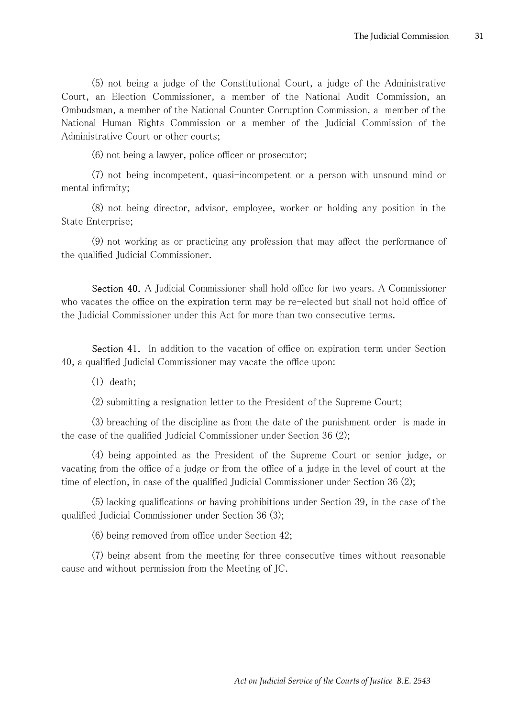(5) not being a judge of the Constitutional Court, a judge of the Administrative Court, an Election Commissioner, a member of the National Audit Commission, an Ombudsman, a member of the National Counter Corruption Commission, a member of the National Human Rights Commission or a member of the Judicial Commission of the Administrative Court or other courts;

(6) not being a lawyer, police officer or prosecutor;

(7) not being incompetent, quasi-incompetent or a person with unsound mind or mental infirmity;

(8) not being director, advisor, employee, worker or holding any position in the State Enterprise;

(9) not working as or practicing any profession that may affect the performance of the qualified Judicial Commissioner.

Section 40. A Judicial Commissioner shall hold office for two years. A Commissioner who vacates the office on the expiration term may be re-elected but shall not hold office of the Judicial Commissioner under this Act for more than two consecutive terms.

Section 41. In addition to the vacation of office on expiration term under Section 40, a qualified Judicial Commissioner may vacate the office upon:

(1) death;

(2) submitting a resignation letter to the President of the Supreme Court;

(3) breaching of the discipline as from the date of the punishment order is made in the case of the qualified Judicial Commissioner under Section 36 (2);

(4) being appointed as the President of the Supreme Court or senior judge, or vacating from the office of a judge or from the office of a judge in the level of court at the time of election, in case of the qualified Judicial Commissioner under Section 36 (2);

(5) lacking qualifications or having prohibitions under Section 39, in the case of the qualified Judicial Commissioner under Section 36 (3);

(6) being removed from office under Section 42;

(7) being absent from the meeting for three consecutive times without reasonable cause and without permission from the Meeting of JC.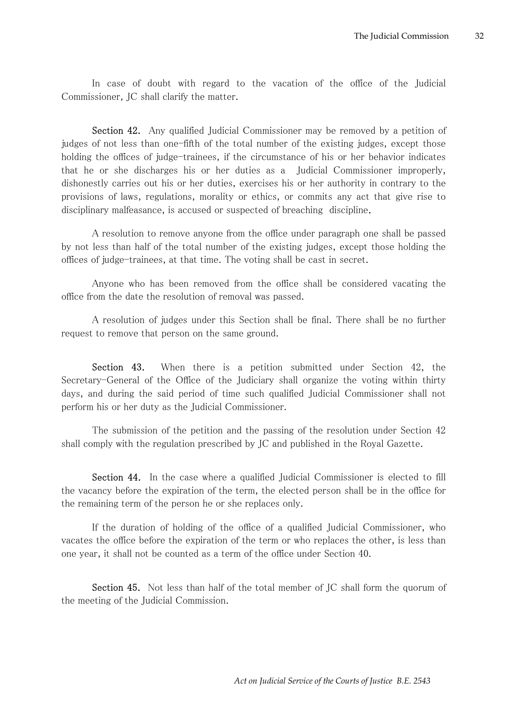In case of doubt with regard to the vacation of the office of the Judicial Commissioner, JC shall clarify the matter.

Section 42. Any qualified Judicial Commissioner may be removed by a petition of judges of not less than one-fifth of the total number of the existing judges, except those holding the offices of judge-trainees, if the circumstance of his or her behavior indicates that he or she discharges his or her duties as a Judicial Commissioner improperly, dishonestly carries out his or her duties, exercises his or her authority in contrary to the provisions of laws, regulations, morality or ethics, or commits any act that give rise to disciplinary malfeasance, is accused or suspected of breaching discipline.

A resolution to remove anyone from the office under paragraph one shall be passed by not less than half of the total number of the existing judges, except those holding the offices of judge-trainees, at that time. The voting shall be cast in secret.

Anyone who has been removed from the office shall be considered vacating the office from the date the resolution of removal was passed.

A resolution of judges under this Section shall be final. There shall be no further request to remove that person on the same ground.

Section 43. When there is a petition submitted under Section 42, the Secretary-General of the Office of the Judiciary shall organize the voting within thirty days, and during the said period of time such qualified Judicial Commissioner shall not perform his or her duty as the Judicial Commissioner.

The submission of the petition and the passing of the resolution under Section 42 shall comply with the regulation prescribed by JC and published in the Royal Gazette.

Section 44. In the case where a qualified Judicial Commissioner is elected to fill the vacancy before the expiration of the term, the elected person shall be in the office for the remaining term of the person he or she replaces only.

If the duration of holding of the office of a qualified Judicial Commissioner, who vacates the office before the expiration of the term or who replaces the other, is less than one year, it shall not be counted as a term of the office under Section 40.

Section 45. Not less than half of the total member of JC shall form the quorum of the meeting of the Judicial Commission.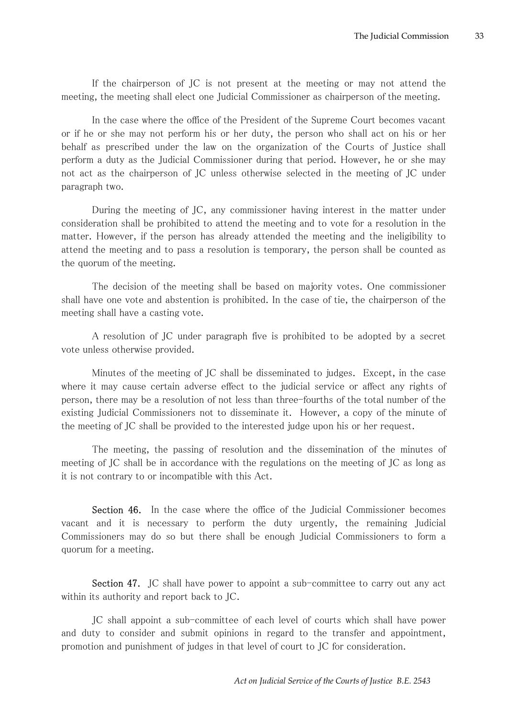If the chairperson of JC is not present at the meeting or may not attend the meeting, the meeting shall elect one Judicial Commissioner as chairperson of the meeting.

In the case where the office of the President of the Supreme Court becomes vacant or if he or she may not perform his or her duty, the person who shall act on his or her behalf as prescribed under the law on the organization of the Courts of Justice shall perform a duty as the Judicial Commissioner during that period. However, he or she may not act as the chairperson of JC unless otherwise selected in the meeting of JC under paragraph two.

During the meeting of JC, any commissioner having interest in the matter under consideration shall be prohibited to attend the meeting and to vote for a resolution in the matter. However, if the person has already attended the meeting and the ineligibility to attend the meeting and to pass a resolution is temporary, the person shall be counted as the quorum of the meeting.

The decision of the meeting shall be based on majority votes. One commissioner shall have one vote and abstention is prohibited. In the case of tie, the chairperson of the meeting shall have a casting vote.

A resolution of JC under paragraph five is prohibited to be adopted by a secret vote unless otherwise provided.

Minutes of the meeting of JC shall be disseminated to judges. Except, in the case where it may cause certain adverse effect to the judicial service or affect any rights of person, there may be a resolution of not less than three-fourths of the total number of the existing Judicial Commissioners not to disseminate it. However, a copy of the minute of the meeting of JC shall be provided to the interested judge upon his or her request.

The meeting, the passing of resolution and the dissemination of the minutes of meeting of JC shall be in accordance with the regulations on the meeting of JC as long as it is not contrary to or incompatible with this Act.

Section 46. In the case where the office of the Judicial Commissioner becomes vacant and it is necessary to perform the duty urgently, the remaining Judicial Commissioners may do so but there shall be enough Judicial Commissioners to form a quorum for a meeting.

Section 47. JC shall have power to appoint a sub-committee to carry out any act within its authority and report back to JC.

JC shall appoint a sub-committee of each level of courts which shall have power and duty to consider and submit opinions in regard to the transfer and appointment, promotion and punishment of judges in that level of court to JC for consideration.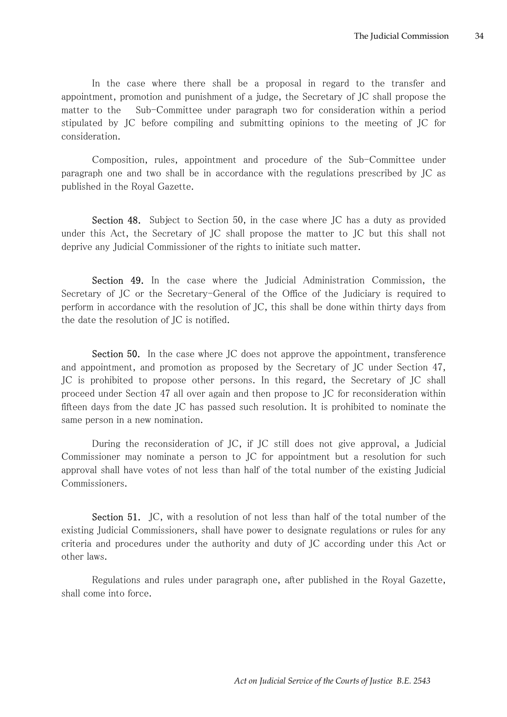In the case where there shall be a proposal in regard to the transfer and appointment, promotion and punishment of a judge, the Secretary of JC shall propose the matter to the Sub-Committee under paragraph two for consideration within a period stipulated by JC before compiling and submitting opinions to the meeting of JC for consideration.

Composition, rules, appointment and procedure of the Sub-Committee under paragraph one and two shall be in accordance with the regulations prescribed by JC as published in the Royal Gazette.

Section 48. Subject to Section 50, in the case where JC has a duty as provided under this Act, the Secretary of JC shall propose the matter to JC but this shall not deprive any Judicial Commissioner of the rights to initiate such matter.

Section 49. In the case where the Judicial Administration Commission, the Secretary of JC or the Secretary-General of the Office of the Judiciary is required to perform in accordance with the resolution of JC, this shall be done within thirty days from the date the resolution of JC is notified.

Section 50. In the case where JC does not approve the appointment, transference and appointment, and promotion as proposed by the Secretary of JC under Section 47, JC is prohibited to propose other persons. In this regard, the Secretary of JC shall proceed under Section 47 all over again and then propose to JC for reconsideration within fifteen days from the date JC has passed such resolution. It is prohibited to nominate the same person in a new nomination.

During the reconsideration of JC, if JC still does not give approval, a Judicial Commissioner may nominate a person to JC for appointment but a resolution for such approval shall have votes of not less than half of the total number of the existing Judicial Commissioners.

Section 51. JC, with a resolution of not less than half of the total number of the existing Judicial Commissioners, shall have power to designate regulations or rules for any criteria and procedures under the authority and duty of JC according under this Act or other laws.

Regulations and rules under paragraph one, after published in the Royal Gazette, shall come into force.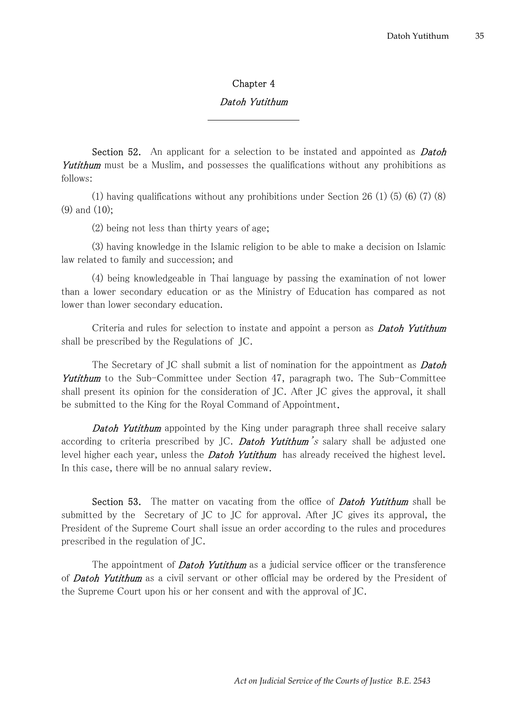## Chapter 4

## Datoh Yutithum

Section 52. An applicant for a selection to be instated and appointed as **Datoh** Yutithum must be a Muslim, and possesses the qualifications without any prohibitions as follows:

(1) having qualifications without any prohibitions under Section 26 (1) (5) (6) (7) (8) (9) and (10);

(2) being not less than thirty years of age;

(3) having knowledge in the Islamic religion to be able to make a decision on Islamic law related to family and succession; and

(4) being knowledgeable in Thai language by passing the examination of not lower than a lower secondary education or as the Ministry of Education has compared as not lower than lower secondary education.

Criteria and rules for selection to instate and appoint a person as **Datoh Yutithum** shall be prescribed by the Regulations of JC.

The Secretary of JC shall submit a list of nomination for the appointment as **Datoh** Yutithum to the Sub-Committee under Section 47, paragraph two. The Sub-Committee shall present its opinion for the consideration of JC. After JC gives the approval, it shall be submitted to the King for the Royal Command of Appointment.

**Datoh Yutithum** appointed by the King under paragraph three shall receive salary according to criteria prescribed by JC. Datoh Yutithum's salary shall be adjusted one level higher each year, unless the **Datoh Yutithum** has already received the highest level. In this case, there will be no annual salary review.

Section 53. The matter on vacating from the office of **Datoh Yutithum** shall be submitted by the Secretary of JC to JC for approval. After JC gives its approval, the President of the Supreme Court shall issue an order according to the rules and procedures prescribed in the regulation of JC.

The appointment of **Datoh Yutithum** as a judicial service officer or the transference of **Datoh Yutithum** as a civil servant or other official may be ordered by the President of the Supreme Court upon his or her consent and with the approval of JC.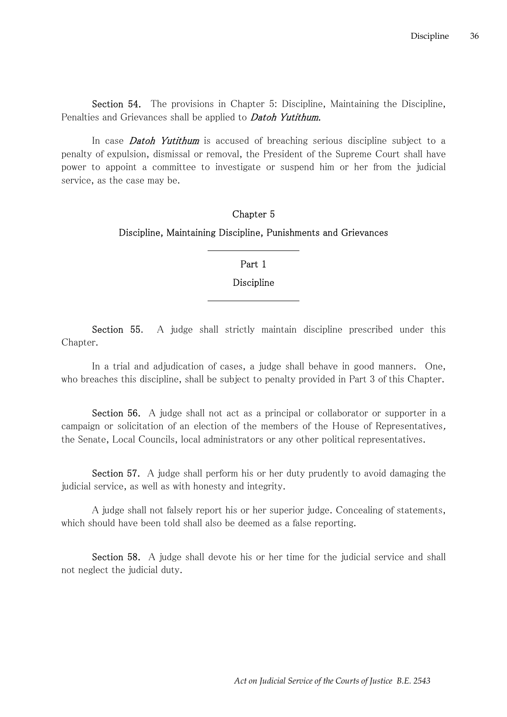Section 54. The provisions in Chapter 5: Discipline, Maintaining the Discipline, Penalties and Grievances shall be applied to **Datoh Yutithum.** 

In case **Datoh Yutithum** is accused of breaching serious discipline subject to a penalty of expulsion, dismissal or removal, the President of the Supreme Court shall have power to appoint a committee to investigate or suspend him or her from the judicial service, as the case may be.

# Chapter 5 Discipline, Maintaining Discipline, Punishments and Grievances

## Part 1

## Discipline

Section 55. A judge shall strictly maintain discipline prescribed under this Chapter.

In a trial and adjudication of cases, a judge shall behave in good manners. One, who breaches this discipline, shall be subject to penalty provided in Part 3 of this Chapter.

Section 56. A judge shall not act as a principal or collaborator or supporter in a campaign or solicitation of an election of the members of the House of Representatives, the Senate, Local Councils, local administrators or any other political representatives.

Section 57. A judge shall perform his or her duty prudently to avoid damaging the judicial service, as well as with honesty and integrity.

A judge shall not falsely report his or her superior judge. Concealing of statements, which should have been told shall also be deemed as a false reporting.

Section 58. A judge shall devote his or her time for the judicial service and shall not neglect the judicial duty.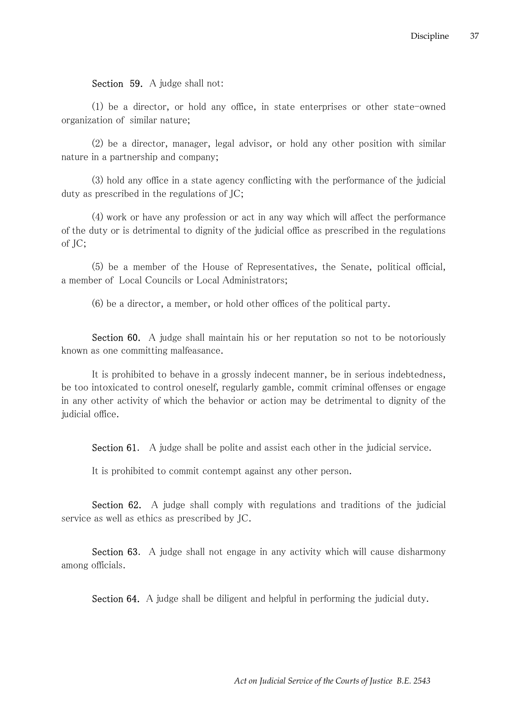### Section 59. A judge shall not:

(1) be a director, or hold any office, in state enterprises or other state-owned organization of similar nature;

(2) be a director, manager, legal advisor, or hold any other position with similar nature in a partnership and company;

(3) hold any office in a state agency conflicting with the performance of the judicial duty as prescribed in the regulations of JC;

(4) work or have any profession or act in any way which will affect the performance of the duty or is detrimental to dignity of the judicial office as prescribed in the regulations of JC;

(5) be a member of the House of Representatives, the Senate, political official, a member of Local Councils or Local Administrators;

(6) be a director, a member, or hold other offices of the political party.

Section 60. A judge shall maintain his or her reputation so not to be notoriously known as one committing malfeasance.

It is prohibited to behave in a grossly indecent manner, be in serious indebtedness, be too intoxicated to control oneself, regularly gamble, commit criminal offenses or engage in any other activity of which the behavior or action may be detrimental to dignity of the judicial office.

Section 61. A judge shall be polite and assist each other in the judicial service.

It is prohibited to commit contempt against any other person.

Section 62. A judge shall comply with regulations and traditions of the judicial service as well as ethics as prescribed by JC.

Section 63. A judge shall not engage in any activity which will cause disharmony among officials.

Section 64. A judge shall be diligent and helpful in performing the judicial duty.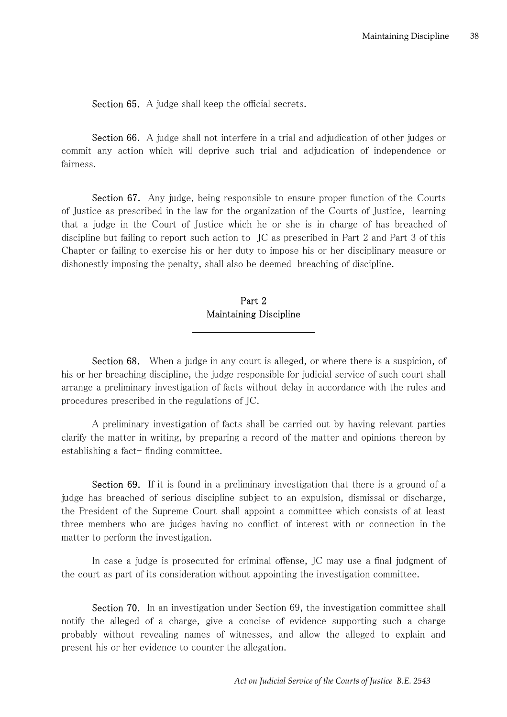Section 65. A judge shall keep the official secrets.

Section 66. A judge shall not interfere in a trial and adjudication of other judges or commit any action which will deprive such trial and adjudication of independence or fairness.

Section 67. Any judge, being responsible to ensure proper function of the Courts of Justice as prescribed in the law for the organization of the Courts of Justice, learning that a judge in the Court of Justice which he or she is in charge of has breached of discipline but failing to report such action to JC as prescribed in Part 2 and Part 3 of this Chapter or failing to exercise his or her duty to impose his or her disciplinary measure or dishonestly imposing the penalty, shall also be deemed breaching of discipline.

## Part 2 Maintaining Discipline

Section 68. When a judge in any court is alleged, or where there is a suspicion, of his or her breaching discipline, the judge responsible for judicial service of such court shall arrange a preliminary investigation of facts without delay in accordance with the rules and procedures prescribed in the regulations of JC.

A preliminary investigation of facts shall be carried out by having relevant parties clarify the matter in writing, by preparing a record of the matter and opinions thereon by establishing a fact- finding committee.

Section 69. If it is found in a preliminary investigation that there is a ground of a judge has breached of serious discipline subject to an expulsion, dismissal or discharge, the President of the Supreme Court shall appoint a committee which consists of at least three members who are judges having no conflict of interest with or connection in the matter to perform the investigation.

In case a judge is prosecuted for criminal offense, JC may use a final judgment of the court as part of its consideration without appointing the investigation committee.

Section 70. In an investigation under Section 69, the investigation committee shall notify the alleged of a charge, give a concise of evidence supporting such a charge probably without revealing names of witnesses, and allow the alleged to explain and present his or her evidence to counter the allegation.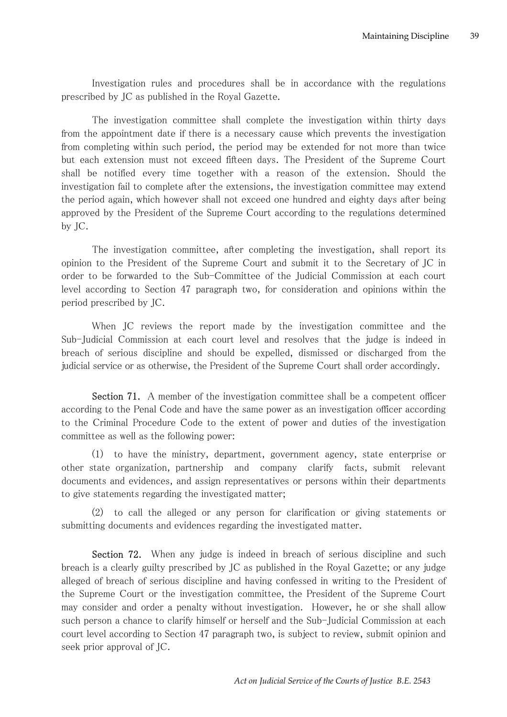Investigation rules and procedures shall be in accordance with the regulations prescribed by JC as published in the Royal Gazette.

The investigation committee shall complete the investigation within thirty days from the appointment date if there is a necessary cause which prevents the investigation from completing within such period, the period may be extended for not more than twice but each extension must not exceed fifteen days. The President of the Supreme Court shall be notified every time together with a reason of the extension. Should the investigation fail to complete after the extensions, the investigation committee may extend the period again, which however shall not exceed one hundred and eighty days after being approved by the President of the Supreme Court according to the regulations determined by JC.

The investigation committee, after completing the investigation, shall report its opinion to the President of the Supreme Court and submit it to the Secretary of JC in order to be forwarded to the Sub-Committee of the Judicial Commission at each court level according to Section 47 paragraph two, for consideration and opinions within the period prescribed by JC.

When JC reviews the report made by the investigation committee and the Sub-Judicial Commission at each court level and resolves that the judge is indeed in breach of serious discipline and should be expelled, dismissed or discharged from the judicial service or as otherwise, the President of the Supreme Court shall order accordingly.

Section 71. A member of the investigation committee shall be a competent officer according to the Penal Code and have the same power as an investigation officer according to the Criminal Procedure Code to the extent of power and duties of the investigation committee as well as the following power:

(1) to have the ministry, department, government agency, state enterprise or other state organization, partnership and company clarify facts, submit relevant documents and evidences, and assign representatives or persons within their departments to give statements regarding the investigated matter;

(2) to call the alleged or any person for clarification or giving statements or submitting documents and evidences regarding the investigated matter.

Section 72. When any judge is indeed in breach of serious discipline and such breach is a clearly guilty prescribed by JC as published in the Royal Gazette; or any judge alleged of breach of serious discipline and having confessed in writing to the President of the Supreme Court or the investigation committee, the President of the Supreme Court may consider and order a penalty without investigation. However, he or she shall allow such person a chance to clarify himself or herself and the Sub-Judicial Commission at each court level according to Section 47 paragraph two, is subject to review, submit opinion and seek prior approval of JC.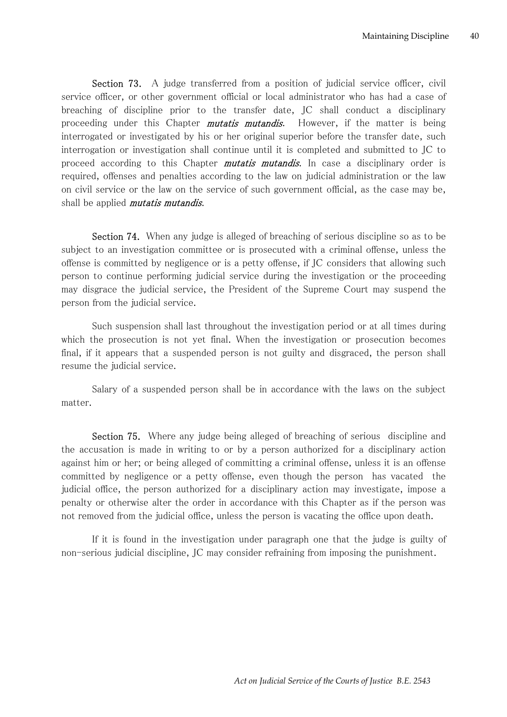Section 73. A judge transferred from a position of judicial service officer, civil service officer, or other government official or local administrator who has had a case of breaching of discipline prior to the transfer date, JC shall conduct a disciplinary proceeding under this Chapter *mutatis mutandis*. However, if the matter is being interrogated or investigated by his or her original superior before the transfer date, such interrogation or investigation shall continue until it is completed and submitted to JC to proceed according to this Chapter *mutatis mutandis*. In case a disciplinary order is required, offenses and penalties according to the law on judicial administration or the law on civil service or the law on the service of such government official, as the case may be, shall be applied *mutatis mutandis*.

Section 74. When any judge is alleged of breaching of serious discipline so as to be subject to an investigation committee or is prosecuted with a criminal offense, unless the offense is committed by negligence or is a petty offense, if JC considers that allowing such person to continue performing judicial service during the investigation or the proceeding may disgrace the judicial service, the President of the Supreme Court may suspend the person from the judicial service.

Such suspension shall last throughout the investigation period or at all times during which the prosecution is not yet final. When the investigation or prosecution becomes final, if it appears that a suspended person is not guilty and disgraced, the person shall resume the judicial service.

Salary of a suspended person shall be in accordance with the laws on the subject matter.

Section 75. Where any judge being alleged of breaching of serious discipline and the accusation is made in writing to or by a person authorized for a disciplinary action against him or her; or being alleged of committing a criminal offense, unless it is an offense committed by negligence or a petty offense, even though the person has vacated the judicial office, the person authorized for a disciplinary action may investigate, impose a penalty or otherwise alter the order in accordance with this Chapter as if the person was not removed from the judicial office, unless the person is vacating the office upon death.

If it is found in the investigation under paragraph one that the judge is guilty of non-serious judicial discipline, JC may consider refraining from imposing the punishment.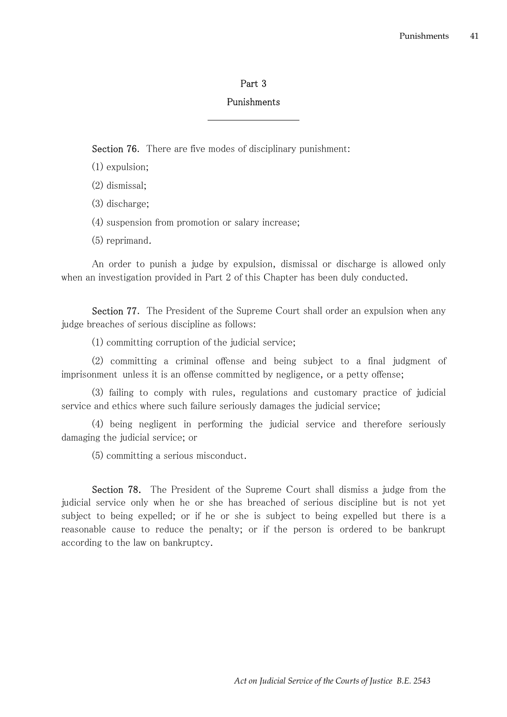### Part 3

#### Punishments

Section 76. There are five modes of disciplinary punishment:

- (1) expulsion;
- (2) dismissal;
- (3) discharge;
- (4) suspension from promotion or salary increase;
- (5) reprimand.

An order to punish a judge by expulsion, dismissal or discharge is allowed only when an investigation provided in Part 2 of this Chapter has been duly conducted.

Section 77. The President of the Supreme Court shall order an expulsion when any judge breaches of serious discipline as follows:

(1) committing corruption of the judicial service;

(2) committing a criminal offense and being subject to a final judgment of imprisonment unless it is an offense committed by negligence, or a petty offense;

(3) failing to comply with rules, regulations and customary practice of judicial service and ethics where such failure seriously damages the judicial service;

(4) being negligent in performing the judicial service and therefore seriously damaging the judicial service; or

(5) committing a serious misconduct.

Section 78. The President of the Supreme Court shall dismiss a judge from the judicial service only when he or she has breached of serious discipline but is not yet subject to being expelled; or if he or she is subject to being expelled but there is a reasonable cause to reduce the penalty; or if the person is ordered to be bankrupt according to the law on bankruptcy.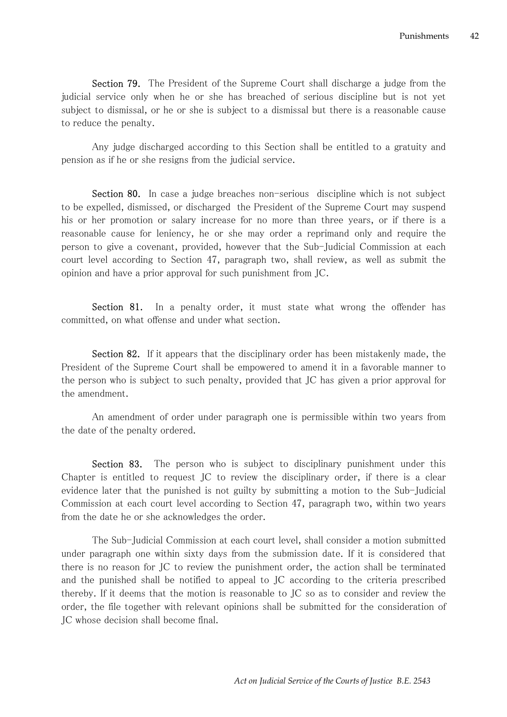Section 79. The President of the Supreme Court shall discharge a judge from the judicial service only when he or she has breached of serious discipline but is not yet subject to dismissal, or he or she is subject to a dismissal but there is a reasonable cause to reduce the penalty.

Any judge discharged according to this Section shall be entitled to a gratuity and pension as if he or she resigns from the judicial service.

Section 80. In case a judge breaches non-serious discipline which is not subject to be expelled, dismissed, or discharged the President of the Supreme Court may suspend his or her promotion or salary increase for no more than three years, or if there is a reasonable cause for leniency, he or she may order a reprimand only and require the person to give a covenant, provided, however that the Sub-Judicial Commission at each court level according to Section 47, paragraph two, shall review, as well as submit the opinion and have a prior approval for such punishment from JC.

Section 81. In a penalty order, it must state what wrong the offender has committed, on what offense and under what section.

Section 82. If it appears that the disciplinary order has been mistakenly made, the President of the Supreme Court shall be empowered to amend it in a favorable manner to the person who is subject to such penalty, provided that JC has given a prior approval for the amendment.

An amendment of order under paragraph one is permissible within two years from the date of the penalty ordered.

Section 83. The person who is subject to disciplinary punishment under this Chapter is entitled to request JC to review the disciplinary order, if there is a clear evidence later that the punished is not guilty by submitting a motion to the Sub-Judicial Commission at each court level according to Section 47, paragraph two, within two years from the date he or she acknowledges the order.

The Sub-Judicial Commission at each court level, shall consider a motion submitted under paragraph one within sixty days from the submission date. If it is considered that there is no reason for JC to review the punishment order, the action shall be terminated and the punished shall be notified to appeal to JC according to the criteria prescribed thereby. If it deems that the motion is reasonable to JC so as to consider and review the order, the file together with relevant opinions shall be submitted for the consideration of JC whose decision shall become final.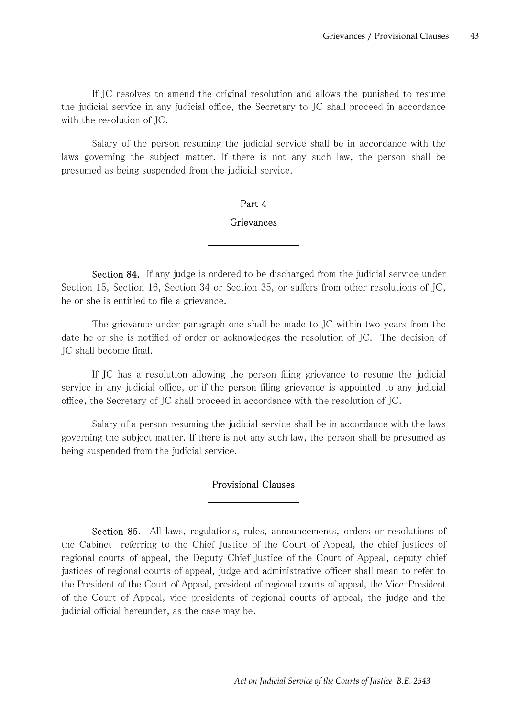If JC resolves to amend the original resolution and allows the punished to resume the judicial service in any judicial office, the Secretary to JC shall proceed in accordance with the resolution of JC.

Salary of the person resuming the judicial service shall be in accordance with the laws governing the subject matter. If there is not any such law, the person shall be presumed as being suspended from the judicial service.

## Part 4 Grievances

Section 84. If any judge is ordered to be discharged from the judicial service under Section 15, Section 16, Section 34 or Section 35, or suffers from other resolutions of JC, he or she is entitled to file a grievance.

The grievance under paragraph one shall be made to JC within two years from the date he or she is notified of order or acknowledges the resolution of JC. The decision of JC shall become final.

If JC has a resolution allowing the person filing grievance to resume the judicial service in any judicial office, or if the person filing grievance is appointed to any judicial office, the Secretary of JC shall proceed in accordance with the resolution of JC.

Salary of a person resuming the judicial service shall be in accordance with the laws governing the subject matter. If there is not any such law, the person shall be presumed as being suspended from the judicial service.

## Provisional Clauses

Section 85. All laws, regulations, rules, announcements, orders or resolutions of the Cabinet referring to the Chief Justice of the Court of Appeal, the chief justices of regional courts of appeal, the Deputy Chief Justice of the Court of Appeal, deputy chief justices of regional courts of appeal, judge and administrative officer shall mean to refer to the President of the Court of Appeal, president of regional courts of appeal, the Vice-President of the Court of Appeal, vice-presidents of regional courts of appeal, the judge and the judicial official hereunder, as the case may be.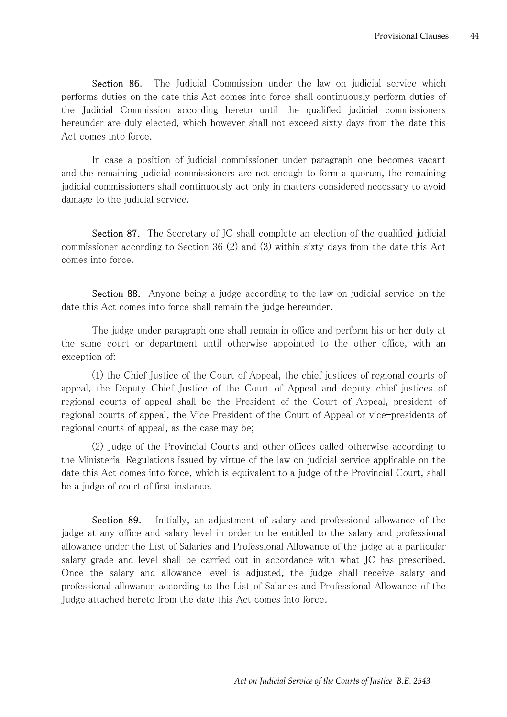Section 86. The Judicial Commission under the law on judicial service which performs duties on the date this Act comes into force shall continuously perform duties of the Judicial Commission according hereto until the qualified judicial commissioners hereunder are duly elected, which however shall not exceed sixty days from the date this Act comes into force.

In case a position of judicial commissioner under paragraph one becomes vacant and the remaining judicial commissioners are not enough to form a quorum, the remaining judicial commissioners shall continuously act only in matters considered necessary to avoid damage to the judicial service.

Section 87. The Secretary of JC shall complete an election of the qualified judicial commissioner according to Section 36 (2) and (3) within sixty days from the date this Act comes into force.

Section 88. Anyone being a judge according to the law on judicial service on the date this Act comes into force shall remain the judge hereunder.

The judge under paragraph one shall remain in office and perform his or her duty at the same court or department until otherwise appointed to the other office, with an exception of:

(1) the Chief Justice of the Court of Appeal, the chief justices of regional courts of appeal, the Deputy Chief Justice of the Court of Appeal and deputy chief justices of regional courts of appeal shall be the President of the Court of Appeal, president of regional courts of appeal, the Vice President of the Court of Appeal or vice–presidents of regional courts of appeal, as the case may be;

(2) Judge of the Provincial Courts and other offices called otherwise according to the Ministerial Regulations issued by virtue of the law on judicial service applicable on the date this Act comes into force, which is equivalent to a judge of the Provincial Court, shall be a judge of court of first instance.

Section 89. Initially, an adjustment of salary and professional allowance of the judge at any office and salary level in order to be entitled to the salary and professional allowance under the List of Salaries and Professional Allowance of the judge at a particular salary grade and level shall be carried out in accordance with what JC has prescribed. Once the salary and allowance level is adjusted, the judge shall receive salary and professional allowance according to the List of Salaries and Professional Allowance of the Judge attached hereto from the date this Act comes into force.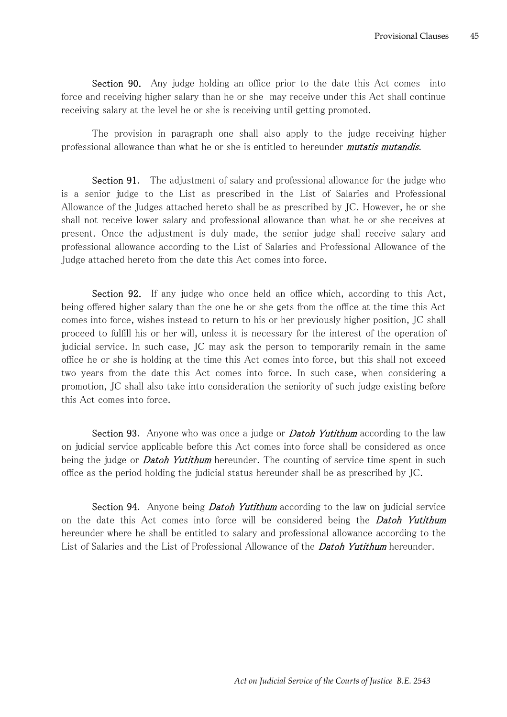Section 90. Any judge holding an office prior to the date this Act comes into force and receiving higher salary than he or she may receive under this Act shall continue receiving salary at the level he or she is receiving until getting promoted.

The provision in paragraph one shall also apply to the judge receiving higher professional allowance than what he or she is entitled to hereunder *mutatis mutandis*.

Section 91. The adjustment of salary and professional allowance for the judge who is a senior judge to the List as prescribed in the List of Salaries and Professional Allowance of the Judges attached hereto shall be as prescribed by JC. However, he or she shall not receive lower salary and professional allowance than what he or she receives at present. Once the adjustment is duly made, the senior judge shall receive salary and professional allowance according to the List of Salaries and Professional Allowance of the Judge attached hereto from the date this Act comes into force.

Section 92. If any judge who once held an office which, according to this Act, being offered higher salary than the one he or she gets from the office at the time this Act comes into force, wishes instead to return to his or her previously higher position, JC shall proceed to fulfill his or her will, unless it is necessary for the interest of the operation of judicial service. In such case, JC may ask the person to temporarily remain in the same office he or she is holding at the time this Act comes into force, but this shall not exceed two years from the date this Act comes into force. In such case, when considering a promotion, JC shall also take into consideration the seniority of such judge existing before this Act comes into force.

Section 93. Anyone who was once a judge or **Datoh Yutithum** according to the law on judicial service applicable before this Act comes into force shall be considered as once being the judge or **Datoh Yutithum** hereunder. The counting of service time spent in such office as the period holding the judicial status hereunder shall be as prescribed by JC.

Section 94. Anyone being *Datoh Yutithum* according to the law on judicial service on the date this Act comes into force will be considered being the **Datoh Yutithum** hereunder where he shall be entitled to salary and professional allowance according to the List of Salaries and the List of Professional Allowance of the **Datoh Yutithum** hereunder.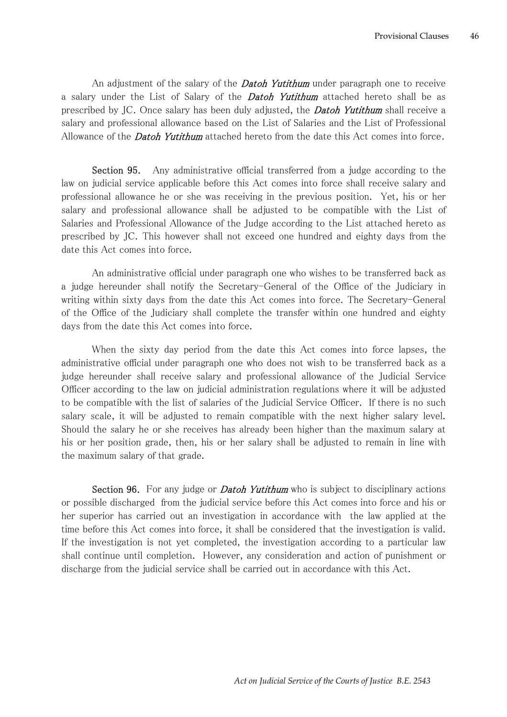An adjustment of the salary of the **Datoh Yutithum** under paragraph one to receive a salary under the List of Salary of the **Datoh Yutithum** attached hereto shall be as prescribed by JC. Once salary has been duly adjusted, the **Datoh Yutithum** shall receive a salary and professional allowance based on the List of Salaries and the List of Professional Allowance of the **Datoh Yutithum** attached hereto from the date this Act comes into force.

Section 95. Any administrative official transferred from a judge according to the law on judicial service applicable before this Act comes into force shall receive salary and professional allowance he or she was receiving in the previous position. Yet, his or her salary and professional allowance shall be adjusted to be compatible with the List of Salaries and Professional Allowance of the Judge according to the List attached hereto as prescribed by JC. This however shall not exceed one hundred and eighty days from the date this Act comes into force.

An administrative official under paragraph one who wishes to be transferred back as a judge hereunder shall notify the Secretary-General of the Office of the Judiciary in writing within sixty days from the date this Act comes into force. The Secretary-General of the Office of the Judiciary shall complete the transfer within one hundred and eighty days from the date this Act comes into force.

When the sixty day period from the date this Act comes into force lapses, the administrative official under paragraph one who does not wish to be transferred back as a judge hereunder shall receive salary and professional allowance of the Judicial Service Officer according to the law on judicial administration regulations where it will be adjusted to be compatible with the list of salaries of the Judicial Service Officer. If there is no such salary scale, it will be adjusted to remain compatible with the next higher salary level. Should the salary he or she receives has already been higher than the maximum salary at his or her position grade, then, his or her salary shall be adjusted to remain in line with the maximum salary of that grade.

Section 96. For any judge or *Datoh Yutithum* who is subject to disciplinary actions or possible discharged from the judicial service before this Act comes into force and his or her superior has carried out an investigation in accordance with the law applied at the time before this Act comes into force, it shall be considered that the investigation is valid. If the investigation is not yet completed, the investigation according to a particular law shall continue until completion. However, any consideration and action of punishment or discharge from the judicial service shall be carried out in accordance with this Act.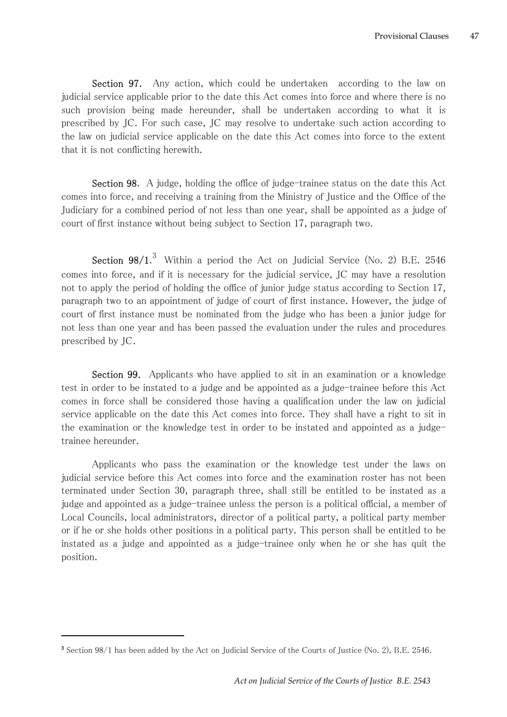Section 97. Any action, which could be undertaken according to the law on judicial service applicable prior to the date this Act comes into force and where there is no such provision being made hereunder, shall be undertaken according to what it is prescribed by JC. For such case, JC may resolve to undertake such action according to the law on judicial service applicable on the date this Act comes into force to the extent that it is not conflicting herewith.

Section 98. A judge, holding the office of judge-trainee status on the date this Act comes into force, and receiving a training from the Ministry of Justice and the Office of the Judiciary for a combined period of not less than one year, shall be appointed as a judge of court of first instance without being subject to Section 17, paragraph two.

**Section 98/1.**<sup>3</sup> Within a period the Act on Judicial Service (No. 2) B.E. 2546 comes into force, and if it is necessary for the judicial service, JC may have a resolution not to apply the period of holding the office of junior judge status according to Section 17, paragraph two to an appointment of judge of court of first instance. However, the judge of court of first instance must be nominated from the judge who has been a junior judge for not less than one year and has been passed the evaluation under the rules and procedures prescribed by JC.

Section 99. Applicants who have applied to sit in an examination or a knowledge test in order to be instated to a judge and be appointed as a judge-trainee before this Act comes in force shall be considered those having a qualification under the law on judicial service applicable on the date this Act comes into force. They shall have a right to sit in the examination or the knowledge test in order to be instated and appointed as a judgetrainee hereunder.

Applicants who pass the examination or the knowledge test under the laws on judicial service before this Act comes into force and the examination roster has not been terminated under Section 30, paragraph three, shall still be entitled to be instated as a judge and appointed as a judge-trainee unless the person is a political official, a member of Local Councils, local administrators, director of a political party, a political party member or if he or she holds other positions in a political party. This person shall be entitled to be instated as a judge and appointed as a judge-trainee only when he or she has quit the position.

<sup>&</sup>lt;sup>3</sup> Section 98/1 has been added by the Act on Judicial Service of the Courts of Justice (No. 2), B.E. 2546.